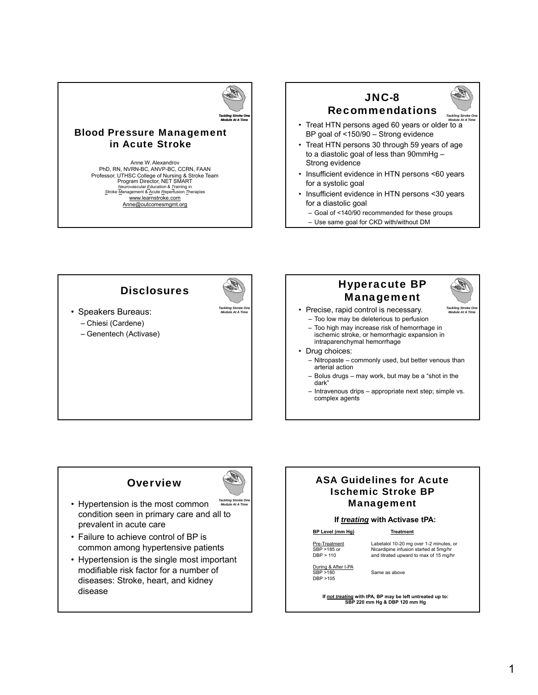

www.learnstroke.com

Anne@outcomesmgmt.org



– Use same goal for CKD with/without DM



*Tackling Stroke One Module At A Time* Hyperacute BP Management • Precise, rapid control is necessary. – Too low may be deleterious to perfusion – Too high may increase risk of hemorrhage in ischemic stroke, or hemorrhagic expansion in intraparenchymal hemorrhage • Drug choices: – Nitropaste – commonly used, but better venous than arterial action – Bolus drugs – may work, but may be a "shot in the dark" – Intravenous drips – appropriate next step; simple vs. complex agents

# **Overview**



- *Tackling Stroke One Module At A Time* • Hypertension is the most common condition seen in primary care and all to prevalent in acute care
- Failure to achieve control of BP is common among hypertensive patients
- Hypertension is the single most important modifiable risk factor for a number of diseases: Stroke, heart, and kidney disease

# ASA Guidelines for Acute Ischemic Stroke BP Management

#### **If** *treating* **with Activase tPA:**

#### **BP Level (mm Hg)** Treatment

Pre-Treatment Labetalol 10-20 mg over 1-2 minutes, or<br>
SBP > 185 or Nicardipine infusion started at 5mg/hr<br>
DBP > 110 and titrated unward to max of 15 mg/hr and titrated upward to max of 15 mg/hr

DBP >105

Nicardipine infusion started at 5mg/hr

During & After t-PA<br>SBP >180 Same as above

**If** *not treating* **with tPA, BP may be left untreated up to: SBP 220 mm Hg & DBP 120 mm Hg**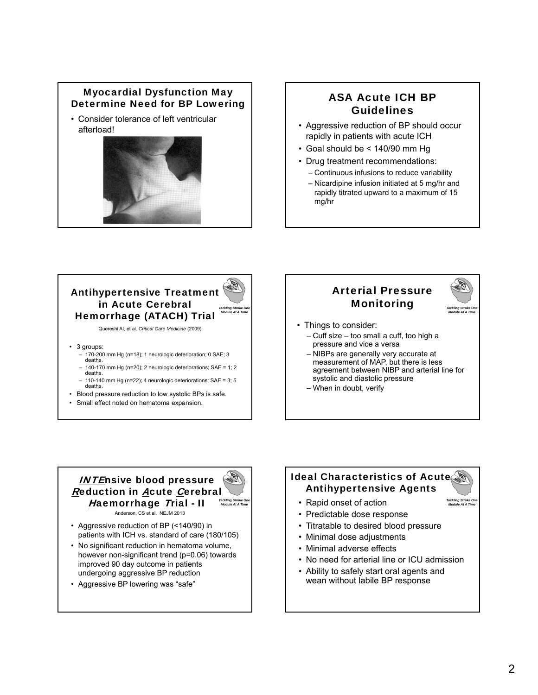#### Myocardial Dysfunction May Determine Need for BP Lowering

• Consider tolerance of left ventricular afterload!



# ASA Acute ICH BP **Guidelines**

- Aggressive reduction of BP should occur rapidly in patients with acute ICH
- Goal should be < 140/90 mm Hg
- Drug treatment recommendations:
	- Continuous infusions to reduce variability
	- Nicardipine infusion initiated at 5 mg/hr and rapidly titrated upward to a maximum of 15 mg/hr



- Blood pressure reduction to low systolic BPs is safe.
- Small effect noted on hematoma expansion.

# Arterial Pressure Monitoring



*Tackling Stroke One Module At A Time*

- Things to consider:
	- Cuff size too small a cuff, too high a pressure and vice a versa
	- NIBPs are generally very accurate at measurement of MAP, but there is less agreement between NIBP and arterial line for systolic and diastolic pressure
	- When in doubt, verify

#### $\mathbb{R}$ INTEnsive blood pressure Reduction in Acute Cerebral Haemorrhage Trial - II *Tackling Stroke One Module At A Time*

Anderson, CS et al. NEJM 2013

- Aggressive reduction of BP (<140/90) in patients with ICH vs. standard of care (180/105)
- No significant reduction in hematoma volume, however non-significant trend (p=0.06) towards improved 90 day outcome in patients undergoing aggressive BP reduction
- Aggressive BP lowering was "safe"

# **Ideal Characteristics of Acute** Antihypertensive Agents

- Rapid onset of action
- Predictable dose response
- Titratable to desired blood pressure
- Minimal dose adjustments
- Minimal adverse effects
- No need for arterial line or ICU admission
- Ability to safely start oral agents and wean without labile BP response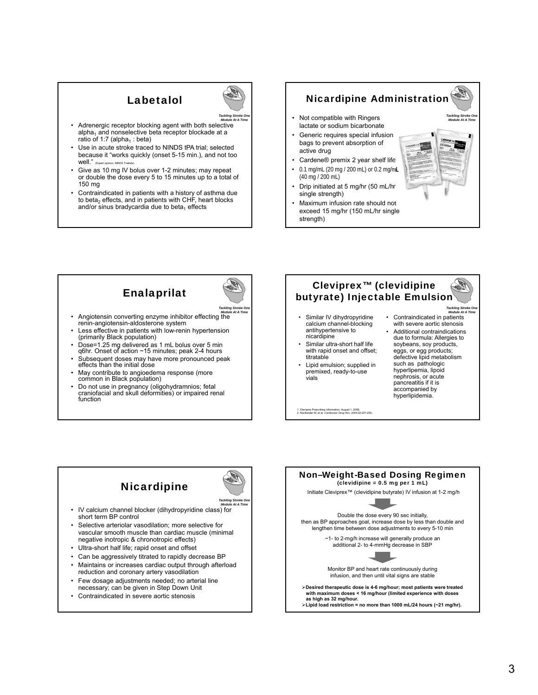# Labetalol



*Tackling Stroke One*

- *Module At A Time*<br>• Adrenergic receptor blocking agent with both selective  $alpha_1$  and nonselective beta receptor blockade at a ratio of 1:7 (alpha<sub>1</sub> : beta)
- Use in acute stroke traced to NINDS tPA trial; selected because it "works quickly (onset 5-15 min.), and not too well."
- Give as 10 mg IV bolus over 1-2 minutes; may repeat or double the dose every 5 to 15 minutes up to a total of 150 mg
- Contraindicated in patients with a history of asthma due<br>to beta<sub>2</sub> effects, and in patients with CHF, heart blocks and/or sinus bradycardia due to beta<sub>1</sub> effects





- May contribute to angioedema response (more common in Black population)
- Do not use in pregnancy (oligohydramnios; fetal craniofacial and skull deformities) or impaired renal function

#### Cleviprex™ (clevidipine 阿 butyrate) Injectable Emulsion

- Similar IV dihydropyridine calcium channel-blocking antihypertensive to nicardipine
- Similar ultra-short half life with rapid onset and offset; titratable
- Lipid emulsion; supplied in premixed, ready-to-use .<br>vials
- *Tackling Stroke One Module At A Time*<br>Contraindicated in patients
	- with severe aortic stenosis • Additional contraindications
- due to formula: Allergies to soybeans, soy products, eggs, or egg products; defective lipid metabolism such as pathologic hyperlipemia, lipoid nephrosis, or acute pancreatitis if it is accompanied by hyperlipidemia.

1. Cleviprex Prescribing Information; August 1, 2008; 2. Nordlander M, et al. *Cardiovasc Drug Rev*. 2004;22:227-250;



- Few dosage adjustments needed; no arterial line necessary; can be given in Step Down Unit
- Contraindicated in severe aortic stenosis

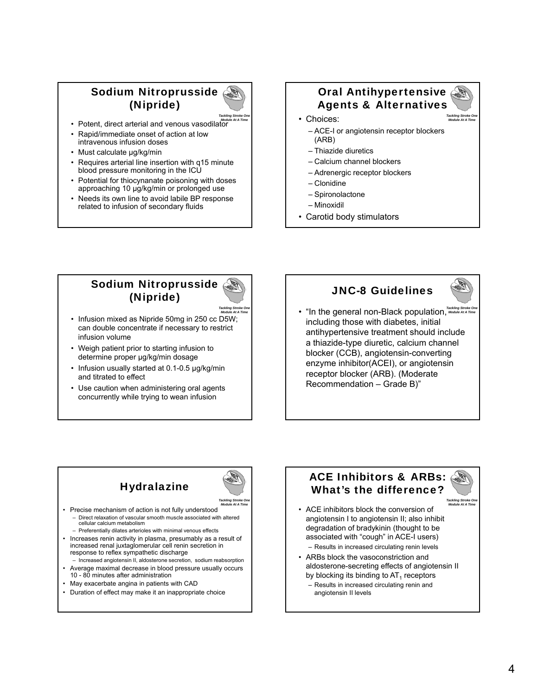# **Sodium Nitroprusside** (Nipride)

- **Potent, direct arterial and venous vasodilator** *Module At A Time*
- Rapid/immediate onset of action at low intravenous infusion doses
- Must calculate ug/kg/min
- Requires arterial line insertion with q15 minute blood pressure monitoring in the ICU
- Potential for thiocynanate poisoning with doses approaching 10 µg/kg/min or prolonged use
- Needs its own line to avoid labile BP response related to infusion of secondary fluids

### **Oral Antihypertensive** Agents & Alternatives

- Choices:
	- ACE-I or angiotensin receptor blockers (ARB)
	- Thiazide diuretics
	- Calcium channel blockers
	- Adrenergic receptor blockers
	- Clonidine
	- Spironolactone
	- Minoxidil
- Carotid body stimulators

#### **Sodium Nitroprusside** (Nipride)

*Tackling Stroke One Module At A Time*

*Tackling Stroke One*

- Infusion mixed as Nipride 50mg in 250 cc D5W; can double concentrate if necessary to restrict infusion volume
- Weigh patient prior to starting infusion to determine proper µg/kg/min dosage
- Infusion usually started at 0.1-0.5 µg/kg/min and titrated to effect
- Use caution when administering oral agents concurrently while trying to wean infusion

# JNC-8 Guidelines



*Tackling Stroke One Module At A Time*

**•**  "In the general non-Black population, Module At A Time including those with diabetes, initial antihypertensive treatment should include a thiazide-type diuretic, calcium channel blocker (CCB), angiotensin-converting enzyme inhibitor(ACEI), or angiotensin receptor blocker (ARB). (Moderate Recommendation – Grade B)"

# Hydralazine

*Tackling Stroke One Module At A Time*

- Precise mechanism of action is not fully understood – Direct relaxation of vascular smooth muscle associated with altered cellular calcium metabolism
	- Preferentially dilates arterioles with minimal venous effects
- Increases renin activity in plasma, presumably as a result of increased renal juxtaglomerular cell renin secretion in response to reflex sympathetic discharge
- Increased angiotensin II, aldosterone secretion, sodium reabsorption • Average maximal decrease in blood pressure usually occurs
- 10 80 minutes after administration
- May exacerbate angina in patients with CAD
- Duration of effect may make it an inappropriate choice

# ACE Inhibitors & ARBs: What's the difference?



- *Module At A Time* • ACE inhibitors block the conversion of angiotensin I to angiotensin II; also inhibit degradation of bradykinin (thought to be associated with "cough" in ACE-I users) – Results in increased circulating renin levels
- ARBs block the vasoconstriction and aldosterone-secreting effects of angiotensin II by blocking its binding to  $AT_1$  receptors
	- Results in increased circulating renin and angiotensin II levels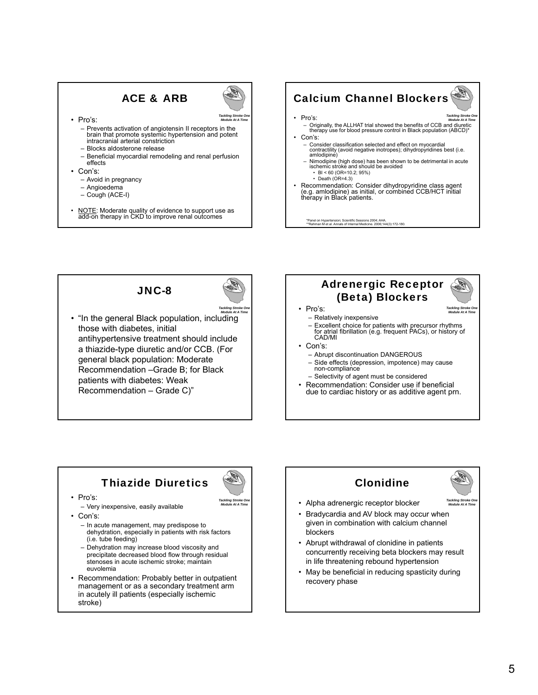

NOTE: Moderate quality of evidence to support use as add-on therapy in CKD to improve renal outcomes







• "In the general Black population, including those with diabetes, initial antihypertensive treatment should include a thiazide-type diuretic and/or CCB. (For general black population: Moderate Recommendation –Grade B; for Black patients with diabetes: Weak Recommendation – Grade C)"



# Thiazide Diuretics



*Tackling Stroke One Module At A Time*

• Pro's:

– Very inexpensive, easily available

• Con's:

#### – In acute management, may predispose to dehydration, especially in patients with risk factors (i.e. tube feeding)

- Dehydration may increase blood viscosity and precipitate decreased blood flow through residual stenoses in acute ischemic stroke; maintain euvolemia
- Recommendation: Probably better in outpatient management or as a secondary treatment arm in acutely ill patients (especially ischemic stroke)